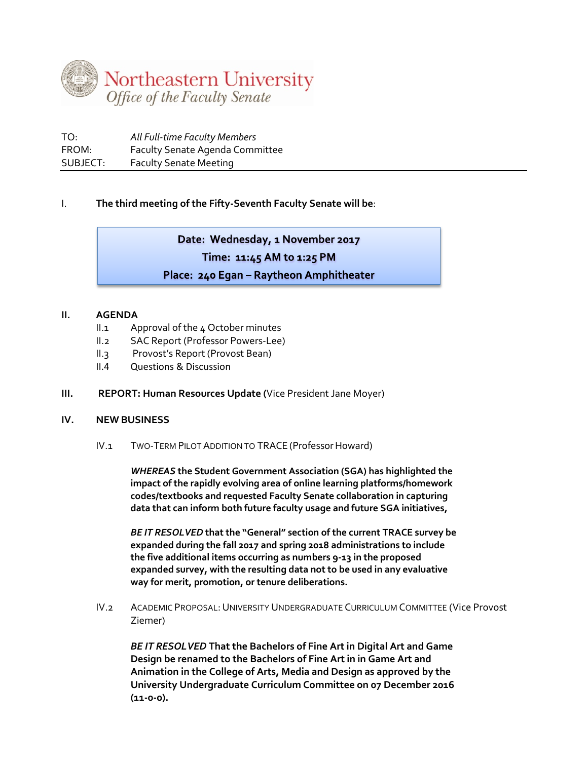

| TO:      | All Full-time Faculty Members          |
|----------|----------------------------------------|
| FROM:    | <b>Faculty Senate Agenda Committee</b> |
| SUBJECT: | <b>Faculty Senate Meeting</b>          |

# I. **The third meeting of the Fifty-Seventh Faculty Senate will be**:

# Date: Wednesday, 1 November 2017 Time: 11:45 AM to 1:25 PM Place: 240 Egan - Raytheon Amphitheater

## **II. AGENDA**

- II.1 Approval of the 4 October minutes
- II.2 SAC Report (Professor Powers-Lee)
- II.3 Provost's Report (Provost Bean)
- II.4 Questions & Discussion

### **III. REPORT: Human Resources Update (**Vice President Jane Moyer)

### **IV. NEW BUSINESS**

IV.1 TWO-TERM PILOT ADDITION TO TRACE (Professor Howard)

*WHEREAS* **the Student Government Association (SGA) has highlighted the impact of the rapidly evolving area of online learning platforms/homework codes/textbooks and requested Faculty Senate collaboration in capturing data that can inform both future faculty usage and future SGA initiatives,**

*BE IT RESOLVED* **that the "General" section of the current TRACE survey be expanded during the fall 2017 and spring 2018 administrations to include the five additional items occurring as numbers 9-13 in the proposed expanded survey, with the resulting data not to be used in any evaluative way for merit, promotion, or tenure deliberations.**

IV.2 ACADEMIC PROPOSAL:UNIVERSITY UNDERGRADUATE CURRICULUM COMMITTEE (Vice Provost Ziemer)

*BE IT RESOLVED* **That the Bachelors of Fine Art in Digital Art and Game Design be renamed to the Bachelors of Fine Art in in Game Art and Animation in the College of Arts, Media and Design as approved by the University Undergraduate Curriculum Committee on 07 December 2016 (11-0-0).**